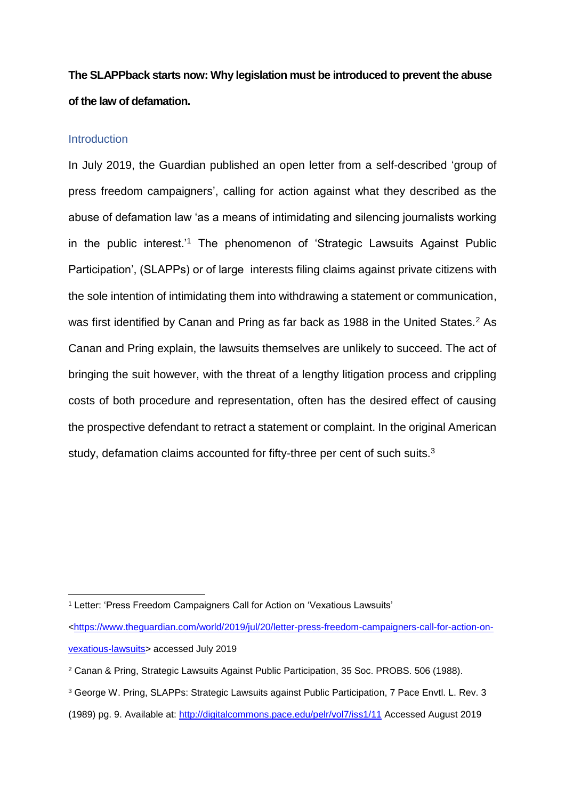# **The SLAPPback starts now: Why legislation must be introduced to prevent the abuse of the law of defamation.**

#### **Introduction**

In July 2019, the Guardian published an open letter from a self-described 'group of press freedom campaigners', calling for action against what they described as the abuse of defamation law 'as a means of intimidating and silencing journalists working in the public interest.'<sup>1</sup> The phenomenon of 'Strategic Lawsuits Against Public Participation', (SLAPPs) or of large interests filing claims against private citizens with the sole intention of intimidating them into withdrawing a statement or communication, was first identified by Canan and Pring as far back as 1988 in the United States.<sup>2</sup> As Canan and Pring explain, the lawsuits themselves are unlikely to succeed. The act of bringing the suit however, with the threat of a lengthy litigation process and crippling costs of both procedure and representation, often has the desired effect of causing the prospective defendant to retract a statement or complaint. In the original American study, defamation claims accounted for fifty-three per cent of such suits.<sup>3</sup>

 $\overline{a}$ <sup>1</sup> Letter: 'Press Freedom Campaigners Call for Action on 'Vexatious Lawsuits'

[<sup>&</sup>lt;https://www.theguardian.com/world/2019/jul/20/letter-press-freedom-campaigners-call-for-action-on](https://www.theguardian.com/world/2019/jul/20/letter-press-freedom-campaigners-call-for-action-on-vexatious-lawsuits)[vexatious-lawsuits>](https://www.theguardian.com/world/2019/jul/20/letter-press-freedom-campaigners-call-for-action-on-vexatious-lawsuits) accessed July 2019

<sup>2</sup> Canan & Pring, Strategic Lawsuits Against Public Participation, 35 Soc. PROBS. 506 (1988).

<sup>3</sup> George W. Pring, SLAPPs: Strategic Lawsuits against Public Participation, 7 Pace Envtl. L. Rev. 3

<sup>(1989)</sup> pg. 9. Available at:<http://digitalcommons.pace.edu/pelr/vol7/iss1/11> Accessed August 2019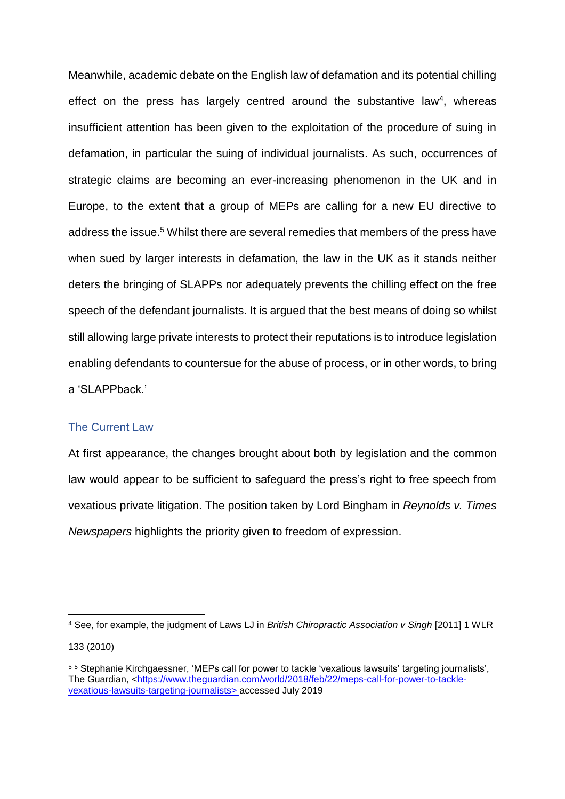Meanwhile, academic debate on the English law of defamation and its potential chilling effect on the press has largely centred around the substantive law<sup>4</sup>, whereas insufficient attention has been given to the exploitation of the procedure of suing in defamation, in particular the suing of individual journalists. As such, occurrences of strategic claims are becoming an ever-increasing phenomenon in the UK and in Europe, to the extent that a group of MEPs are calling for a new EU directive to address the issue.<sup>5</sup> Whilst there are several remedies that members of the press have when sued by larger interests in defamation, the law in the UK as it stands neither deters the bringing of SLAPPs nor adequately prevents the chilling effect on the free speech of the defendant journalists. It is argued that the best means of doing so whilst still allowing large private interests to protect their reputations is to introduce legislation enabling defendants to countersue for the abuse of process, or in other words, to bring a 'SLAPPback.'

## The Current Law

 $\overline{a}$ 

At first appearance, the changes brought about both by legislation and the common law would appear to be sufficient to safeguard the press's right to free speech from vexatious private litigation. The position taken by Lord Bingham in *Reynolds v. Times Newspapers* highlights the priority given to freedom of expression.

<sup>4</sup> See, for example, the judgment of Laws LJ in *British Chiropractic Association v Singh* [2011] 1 WLR 133 (2010)

<sup>5</sup> <sup>5</sup> Stephanie Kirchgaessner, 'MEPs call for power to tackle 'vexatious lawsuits' targeting journalists', The Guardian, [<https://www.theguardian.com/world/2018/feb/22/meps-call-for-power-to-tackle](https://www.theguardian.com/world/2018/feb/22/meps-call-for-power-to-tackle-vexatious-lawsuits-targeting-journalists)[vexatious-lawsuits-targeting-journalists>](https://www.theguardian.com/world/2018/feb/22/meps-call-for-power-to-tackle-vexatious-lawsuits-targeting-journalists) accessed July 2019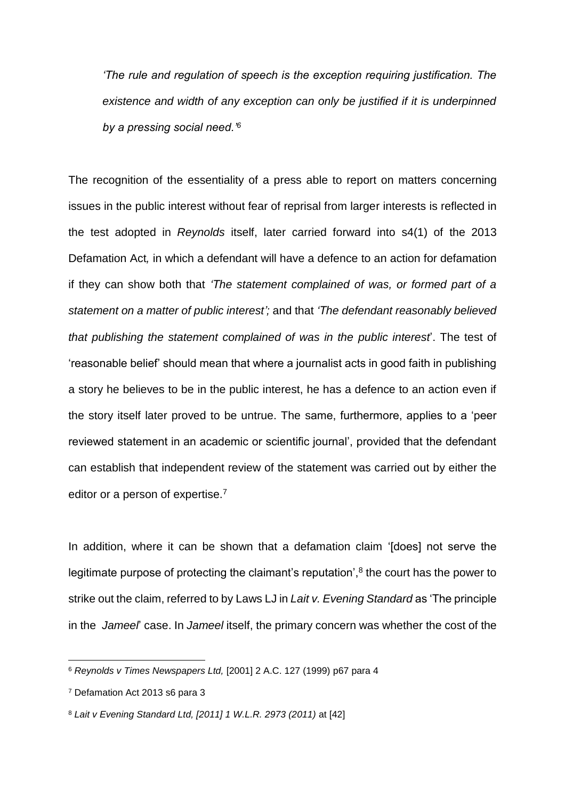*'The rule and regulation of speech is the exception requiring justification. The existence and width of any exception can only be justified if it is underpinned by a pressing social need.'<sup>6</sup>*

The recognition of the essentiality of a press able to report on matters concerning issues in the public interest without fear of reprisal from larger interests is reflected in the test adopted in *Reynolds* itself, later carried forward into s4(1) of the 2013 Defamation Act*,* in which a defendant will have a defence to an action for defamation if they can show both that *'The statement complained of was, or formed part of a statement on a matter of public interest';* and that *'The defendant reasonably believed that publishing the statement complained of was in the public interest*'. The test of 'reasonable belief' should mean that where a journalist acts in good faith in publishing a story he believes to be in the public interest, he has a defence to an action even if the story itself later proved to be untrue. The same, furthermore, applies to a 'peer reviewed statement in an academic or scientific journal', provided that the defendant can establish that independent review of the statement was carried out by either the editor or a person of expertise.<sup>7</sup>

In addition, where it can be shown that a defamation claim '[does] not serve the legitimate purpose of protecting the claimant's reputation',<sup>8</sup> the court has the power to strike out the claim, referred to by Laws LJ in *Lait v. Evening Standard* as 'The principle in the *Jameel*' case. In *Jameel* itself, the primary concern was whether the cost of the

<sup>6</sup> *Reynolds v Times Newspapers Ltd,* [2001] 2 A.C. 127 (1999) p67 para 4

<sup>7</sup> Defamation Act 2013 s6 para 3

<sup>8</sup> *Lait v Evening Standard Ltd, [2011] 1 W.L.R. 2973 (2011)* at [42]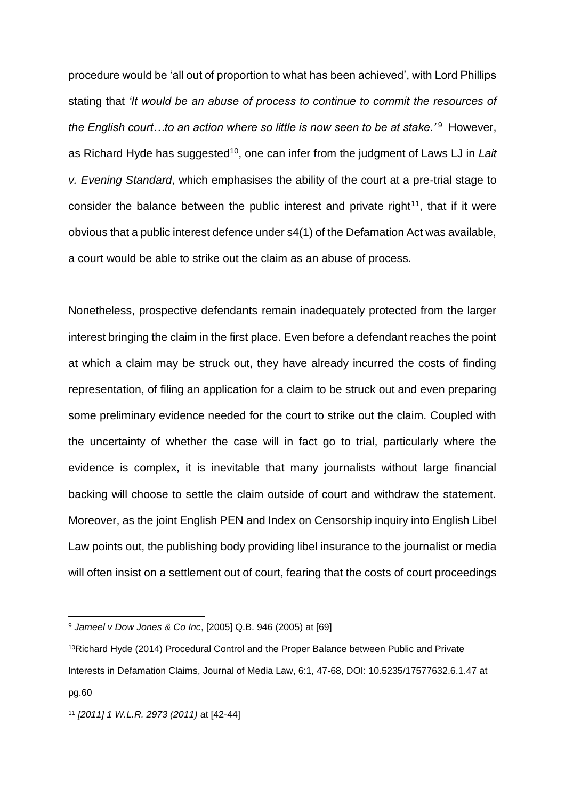procedure would be 'all out of proportion to what has been achieved', with Lord Phillips stating that *'It would be an abuse of process to continue to commit the resources of*  the English court...to an action where so little is now seen to be at stake.'<sup>9</sup> However, as Richard Hyde has suggested<sup>10</sup>, one can infer from the judgment of Laws LJ in *Lait v. Evening Standard*, which emphasises the ability of the court at a pre-trial stage to consider the balance between the public interest and private right<sup>11</sup>, that if it were obvious that a public interest defence under s4(1) of the Defamation Act was available, a court would be able to strike out the claim as an abuse of process.

Nonetheless, prospective defendants remain inadequately protected from the larger interest bringing the claim in the first place. Even before a defendant reaches the point at which a claim may be struck out, they have already incurred the costs of finding representation, of filing an application for a claim to be struck out and even preparing some preliminary evidence needed for the court to strike out the claim. Coupled with the uncertainty of whether the case will in fact go to trial, particularly where the evidence is complex, it is inevitable that many journalists without large financial backing will choose to settle the claim outside of court and withdraw the statement. Moreover, as the joint English PEN and Index on Censorship inquiry into English Libel Law points out, the publishing body providing libel insurance to the journalist or media will often insist on a settlement out of court, fearing that the costs of court proceedings

<sup>9</sup> *Jameel v Dow Jones & Co Inc*, [2005] Q.B. 946 (2005) at [69]

<sup>10</sup>Richard Hyde (2014) Procedural Control and the Proper Balance between Public and Private Interests in Defamation Claims, Journal of Media Law, 6:1, 47-68, DOI: 10.5235/17577632.6.1.47 at pg.60

<sup>11</sup> *[2011] 1 W.L.R. 2973 (2011)* at [42-44]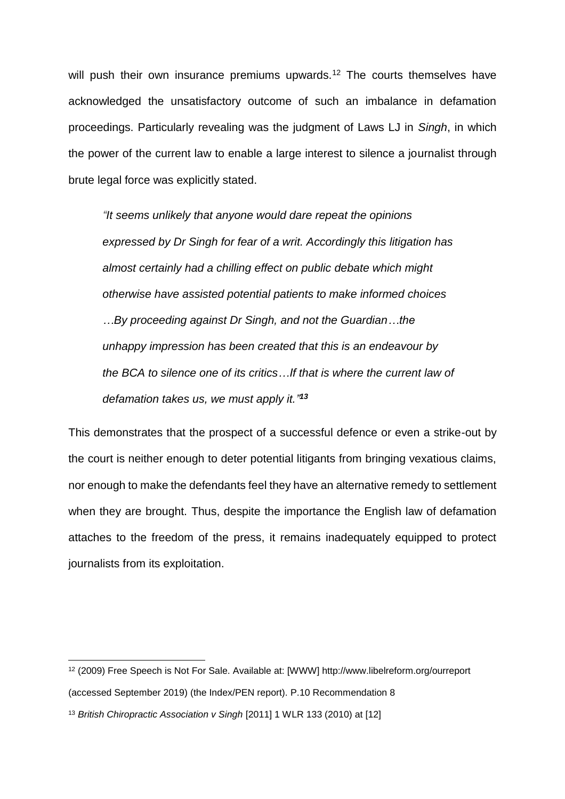will push their own insurance premiums upwards.<sup>12</sup> The courts themselves have acknowledged the unsatisfactory outcome of such an imbalance in defamation proceedings. Particularly revealing was the judgment of Laws LJ in *Singh*, in which the power of the current law to enable a large interest to silence a journalist through brute legal force was explicitly stated.

*"It seems unlikely that anyone would dare repeat the opinions expressed by Dr Singh for fear of a writ. Accordingly this litigation has almost certainly had a chilling effect on public debate which might otherwise have assisted potential patients to make informed choices …By proceeding against Dr Singh, and not the Guardian…the unhappy impression has been created that this is an endeavour by the BCA to silence one of its critics…If that is where the current law of defamation takes us, we must apply it." 13*

This demonstrates that the prospect of a successful defence or even a strike-out by the court is neither enough to deter potential litigants from bringing vexatious claims, nor enough to make the defendants feel they have an alternative remedy to settlement when they are brought. Thus, despite the importance the English law of defamation attaches to the freedom of the press, it remains inadequately equipped to protect journalists from its exploitation.

<sup>12</sup> (2009) Free Speech is Not For Sale. Available at: [WWW] http://www.libelreform.org/ourreport (accessed September 2019) (the Index/PEN report). P.10 Recommendation 8

<sup>&</sup>lt;sup>13</sup> British Chiropractic Association v Singh [2011] 1 WLR 133 (2010) at [12]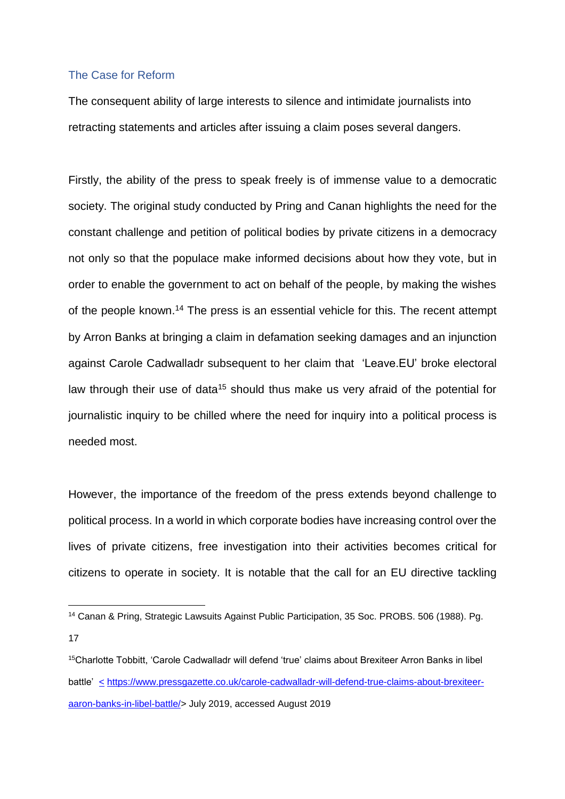## The Case for Reform

 $\overline{a}$ 

The consequent ability of large interests to silence and intimidate journalists into retracting statements and articles after issuing a claim poses several dangers.

Firstly, the ability of the press to speak freely is of immense value to a democratic society. The original study conducted by Pring and Canan highlights the need for the constant challenge and petition of political bodies by private citizens in a democracy not only so that the populace make informed decisions about how they vote, but in order to enable the government to act on behalf of the people, by making the wishes of the people known.<sup>14</sup> The press is an essential vehicle for this. The recent attempt by Arron Banks at bringing a claim in defamation seeking damages and an injunction against Carole Cadwalladr subsequent to her claim that 'Leave.EU' broke electoral law through their use of data<sup>15</sup> should thus make us very afraid of the potential for journalistic inquiry to be chilled where the need for inquiry into a political process is needed most.

However, the importance of the freedom of the press extends beyond challenge to political process. In a world in which corporate bodies have increasing control over the lives of private citizens, free investigation into their activities becomes critical for citizens to operate in society. It is notable that the call for an EU directive tackling

<sup>14</sup> Canan & Pring, Strategic Lawsuits Against Public Participation, 35 Soc. PROBS. 506 (1988). Pg. 17

<sup>&</sup>lt;sup>15</sup>Charlotte Tobbitt, 'Carole Cadwalladr will defend 'true' claims about Brexiteer Arron Banks in libel battle' [<](%3c) [https://www.pressgazette.co.uk/carole-cadwalladr-will-defend-true-claims-about-brexiteer](https://www.pressgazette.co.uk/carole-cadwalladr-will-defend-true-claims-about-brexiteer-aaron-banks-in-libel-battle/)[aaron-banks-in-libel-battle/>](https://www.pressgazette.co.uk/carole-cadwalladr-will-defend-true-claims-about-brexiteer-aaron-banks-in-libel-battle/) July 2019, accessed August 2019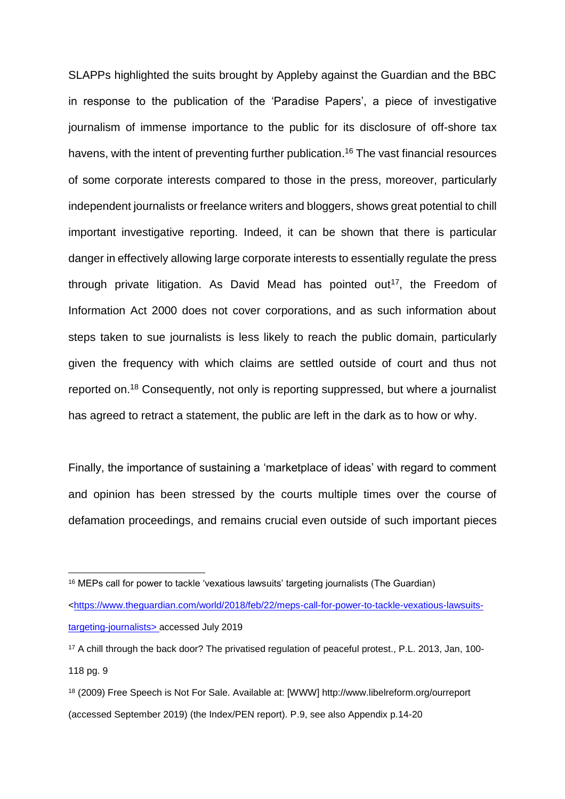SLAPPs highlighted the suits brought by Appleby against the Guardian and the BBC in response to the publication of the 'Paradise Papers', a piece of investigative journalism of immense importance to the public for its disclosure of off-shore tax havens, with the intent of preventing further publication. <sup>16</sup> The vast financial resources of some corporate interests compared to those in the press, moreover, particularly independent journalists or freelance writers and bloggers, shows great potential to chill important investigative reporting. Indeed, it can be shown that there is particular danger in effectively allowing large corporate interests to essentially regulate the press through private litigation. As David Mead has pointed out<sup>17</sup>, the Freedom of Information Act 2000 does not cover corporations, and as such information about steps taken to sue journalists is less likely to reach the public domain, particularly given the frequency with which claims are settled outside of court and thus not reported on.<sup>18</sup> Consequently, not only is reporting suppressed, but where a journalist has agreed to retract a statement, the public are left in the dark as to how or why.

Finally, the importance of sustaining a 'marketplace of ideas' with regard to comment and opinion has been stressed by the courts multiple times over the course of defamation proceedings, and remains crucial even outside of such important pieces

<sup>&</sup>lt;sup>16</sup> MEPs call for power to tackle 'vexatious lawsuits' targeting journalists (The Guardian)

[<sup>&</sup>lt;https://www.theguardian.com/world/2018/feb/22/meps-call-for-power-to-tackle-vexatious-lawsuits](https://www.theguardian.com/world/2018/feb/22/meps-call-for-power-to-tackle-vexatious-lawsuits-targeting-journalists)[targeting-journalists>](https://www.theguardian.com/world/2018/feb/22/meps-call-for-power-to-tackle-vexatious-lawsuits-targeting-journalists) accessed July 2019

<sup>17</sup> A chill through the back door? The privatised regulation of peaceful protest., P.L. 2013, Jan, 100- 118 pg. 9

<sup>18</sup> (2009) Free Speech is Not For Sale. Available at: [WWW] http://www.libelreform.org/ourreport (accessed September 2019) (the Index/PEN report). P.9, see also Appendix p.14-20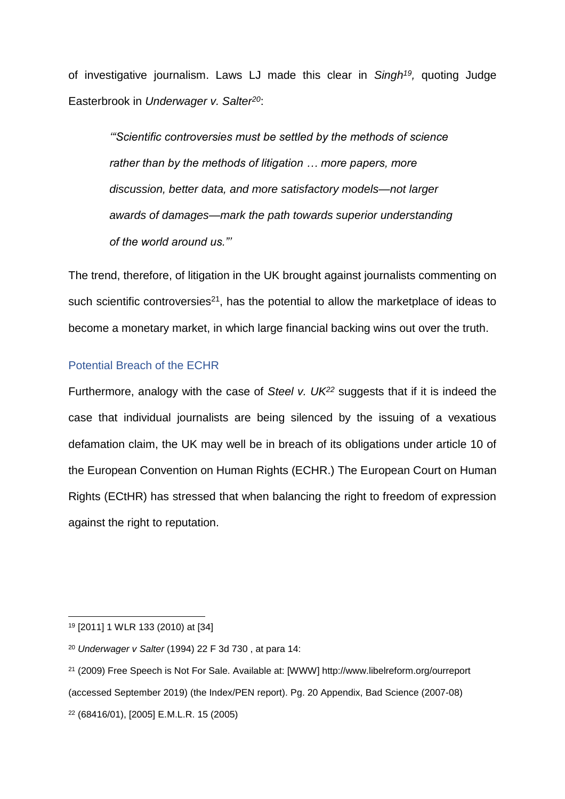of investigative journalism. Laws LJ made this clear in Singh<sup>19</sup>, quoting Judge Easterbrook in *Underwager v. Salter<sup>20</sup>*:

*'"Scientific controversies must be settled by the methods of science rather than by the methods of litigation … more papers, more discussion, better data, and more satisfactory models—not larger awards of damages—mark the path towards superior understanding of the world around us."'*

The trend, therefore, of litigation in the UK brought against journalists commenting on such scientific controversies $21$ , has the potential to allow the marketplace of ideas to become a monetary market, in which large financial backing wins out over the truth.

# Potential Breach of the ECHR

Furthermore, analogy with the case of *Steel v. UK<sup>22</sup>* suggests that if it is indeed the case that individual journalists are being silenced by the issuing of a vexatious defamation claim, the UK may well be in breach of its obligations under article 10 of the European Convention on Human Rights (ECHR.) The European Court on Human Rights (ECtHR) has stressed that when balancing the right to freedom of expression against the right to reputation.

<sup>19</sup> [2011] 1 WLR 133 (2010) at [34]

<sup>20</sup> *Underwager v Salter* (1994) 22 F 3d 730 , at para 14:

<sup>21</sup> (2009) Free Speech is Not For Sale. Available at: [WWW] http://www.libelreform.org/ourreport (accessed September 2019) (the Index/PEN report). Pg. 20 Appendix, Bad Science (2007-08) <sup>22</sup> (68416/01), [2005] E.M.L.R. 15 (2005)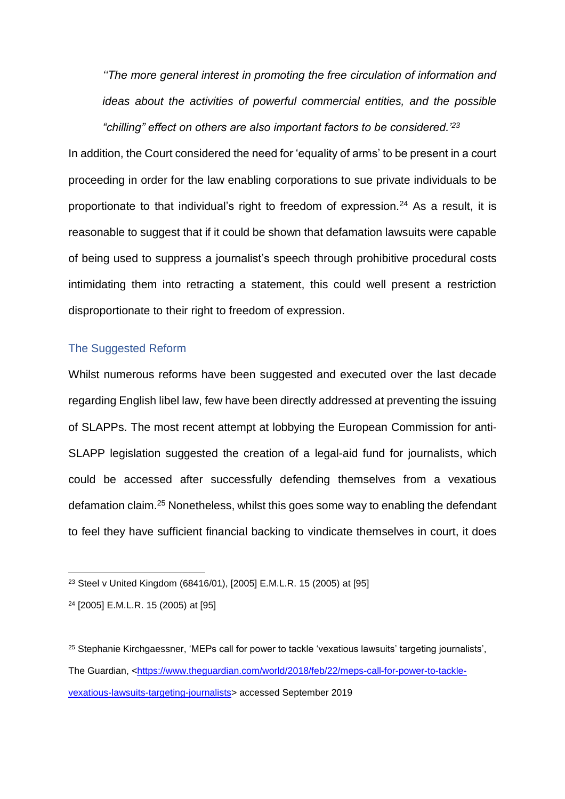*''The more general interest in promoting the free circulation of information and ideas about the activities of powerful commercial entities, and the possible "chilling" effect on others are also important factors to be considered.'<sup>23</sup>*

In addition, the Court considered the need for 'equality of arms' to be present in a court proceeding in order for the law enabling corporations to sue private individuals to be proportionate to that individual's right to freedom of expression.<sup>24</sup> As a result, it is reasonable to suggest that if it could be shown that defamation lawsuits were capable of being used to suppress a journalist's speech through prohibitive procedural costs intimidating them into retracting a statement, this could well present a restriction disproportionate to their right to freedom of expression.

## The Suggested Reform

Whilst numerous reforms have been suggested and executed over the last decade regarding English libel law, few have been directly addressed at preventing the issuing of SLAPPs. The most recent attempt at lobbying the European Commission for anti-SLAPP legislation suggested the creation of a legal-aid fund for journalists, which could be accessed after successfully defending themselves from a vexatious defamation claim.<sup>25</sup> Nonetheless, whilst this goes some way to enabling the defendant to feel they have sufficient financial backing to vindicate themselves in court, it does

<sup>23</sup> Steel v United Kingdom (68416/01), [2005] E.M.L.R. 15 (2005) at [95]

<sup>24</sup> [2005] E.M.L.R. 15 (2005) at [95]

<sup>25</sup> Stephanie Kirchgaessner, 'MEPs call for power to tackle 'vexatious lawsuits' targeting journalists', The Guardian, [<https://www.theguardian.com/world/2018/feb/22/meps-call-for-power-to-tackle](https://www.theguardian.com/world/2018/feb/22/meps-call-for-power-to-tackle-vexatious-lawsuits-targeting-journalists)[vexatious-lawsuits-targeting-journalists>](https://www.theguardian.com/world/2018/feb/22/meps-call-for-power-to-tackle-vexatious-lawsuits-targeting-journalists) accessed September 2019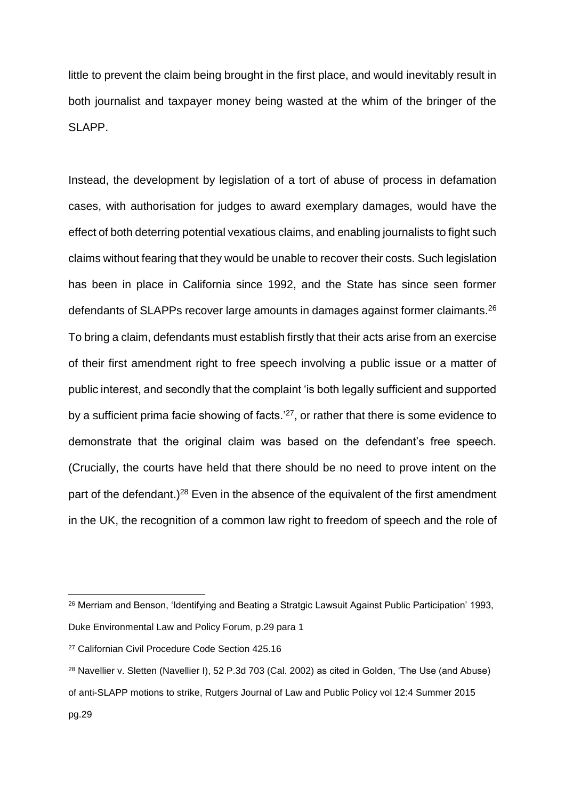little to prevent the claim being brought in the first place, and would inevitably result in both journalist and taxpayer money being wasted at the whim of the bringer of the SLAPP.

Instead, the development by legislation of a tort of abuse of process in defamation cases, with authorisation for judges to award exemplary damages, would have the effect of both deterring potential vexatious claims, and enabling journalists to fight such claims without fearing that they would be unable to recover their costs. Such legislation has been in place in California since 1992, and the State has since seen former defendants of SLAPPs recover large amounts in damages against former claimants.<sup>26</sup> To bring a claim, defendants must establish firstly that their acts arise from an exercise of their first amendment right to free speech involving a public issue or a matter of public interest, and secondly that the complaint 'is both legally sufficient and supported by a sufficient prima facie showing of facts.'<sup>27</sup>, or rather that there is some evidence to demonstrate that the original claim was based on the defendant's free speech. (Crucially, the courts have held that there should be no need to prove intent on the part of the defendant.)<sup>28</sup> Even in the absence of the equivalent of the first amendment in the UK, the recognition of a common law right to freedom of speech and the role of

<sup>&</sup>lt;sup>26</sup> Merriam and Benson, 'Identifying and Beating a Stratgic Lawsuit Against Public Participation' 1993, Duke Environmental Law and Policy Forum, p.29 para 1

<sup>27</sup> Californian Civil Procedure Code Section 425.16

<sup>28</sup> Navellier v. Sletten (Navellier I), 52 P.3d 703 (Cal. 2002) as cited in Golden, 'The Use (and Abuse) of anti-SLAPP motions to strike, Rutgers Journal of Law and Public Policy vol 12:4 Summer 2015 pg.29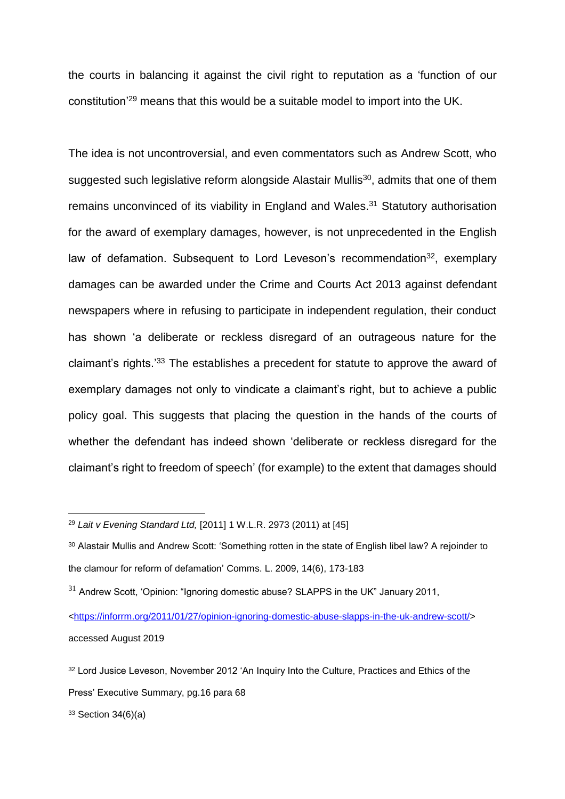the courts in balancing it against the civil right to reputation as a 'function of our constitution'<sup>29</sup> means that this would be a suitable model to import into the UK.

The idea is not uncontroversial, and even commentators such as Andrew Scott, who suggested such legislative reform alongside Alastair Mullis<sup>30</sup>, admits that one of them remains unconvinced of its viability in England and Wales.<sup>31</sup> Statutory authorisation for the award of exemplary damages, however, is not unprecedented in the English law of defamation. Subsequent to Lord Leveson's recommendation<sup>32</sup>, exemplary damages can be awarded under the Crime and Courts Act 2013 against defendant newspapers where in refusing to participate in independent regulation, their conduct has shown 'a deliberate or reckless disregard of an outrageous nature for the claimant's rights.<sup>33</sup> The establishes a precedent for statute to approve the award of exemplary damages not only to vindicate a claimant's right, but to achieve a public policy goal. This suggests that placing the question in the hands of the courts of whether the defendant has indeed shown 'deliberate or reckless disregard for the claimant's right to freedom of speech' (for example) to the extent that damages should

<sup>29</sup> *Lait v Evening Standard Ltd,* [2011] 1 W.L.R. 2973 (2011) at [45]

<sup>30</sup> Alastair Mullis and Andrew Scott: 'Something rotten in the state of English libel law? A rejoinder to the clamour for reform of defamation' Comms. L. 2009, 14(6), 173-183

 $31$  Andrew Scott, 'Opinion: "Ignoring domestic abuse? SLAPPS in the UK" January 2011,

[<sup>&</sup>lt;https://inforrm.org/2011/01/27/opinion-ignoring-domestic-abuse-slapps-in-the-uk-andrew-scott/>](https://inforrm.org/2011/01/27/opinion-ignoring-domestic-abuse-slapps-in-the-uk-andrew-scott/) accessed August 2019

<sup>32</sup> Lord Jusice Leveson, November 2012 'An Inquiry Into the Culture, Practices and Ethics of the Press' Executive Summary, pg.16 para 68

 $33$  Section 34(6)(a)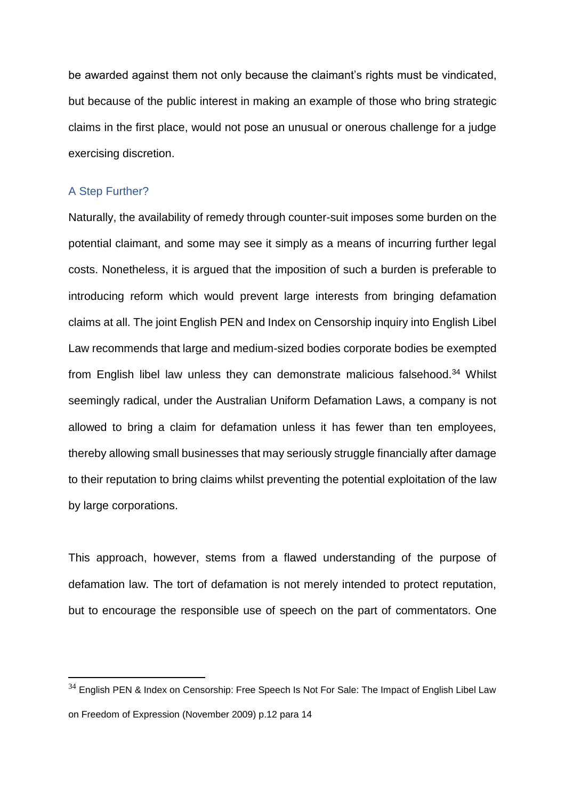be awarded against them not only because the claimant's rights must be vindicated, but because of the public interest in making an example of those who bring strategic claims in the first place, would not pose an unusual or onerous challenge for a judge exercising discretion.

### A Step Further?

 $\overline{a}$ 

Naturally, the availability of remedy through counter-suit imposes some burden on the potential claimant, and some may see it simply as a means of incurring further legal costs. Nonetheless, it is argued that the imposition of such a burden is preferable to introducing reform which would prevent large interests from bringing defamation claims at all. The joint English PEN and Index on Censorship inquiry into English Libel Law recommends that large and medium-sized bodies corporate bodies be exempted from English libel law unless they can demonstrate malicious falsehood.<sup>34</sup> Whilst seemingly radical, under the Australian Uniform Defamation Laws, a company is not allowed to bring a claim for defamation unless it has fewer than ten employees, thereby allowing small businesses that may seriously struggle financially after damage to their reputation to bring claims whilst preventing the potential exploitation of the law by large corporations.

This approach, however, stems from a flawed understanding of the purpose of defamation law. The tort of defamation is not merely intended to protect reputation, but to encourage the responsible use of speech on the part of commentators. One

<sup>&</sup>lt;sup>34</sup> English PEN & Index on Censorship: Free Speech Is Not For Sale: The Impact of English Libel Law on Freedom of Expression (November 2009) p.12 para 14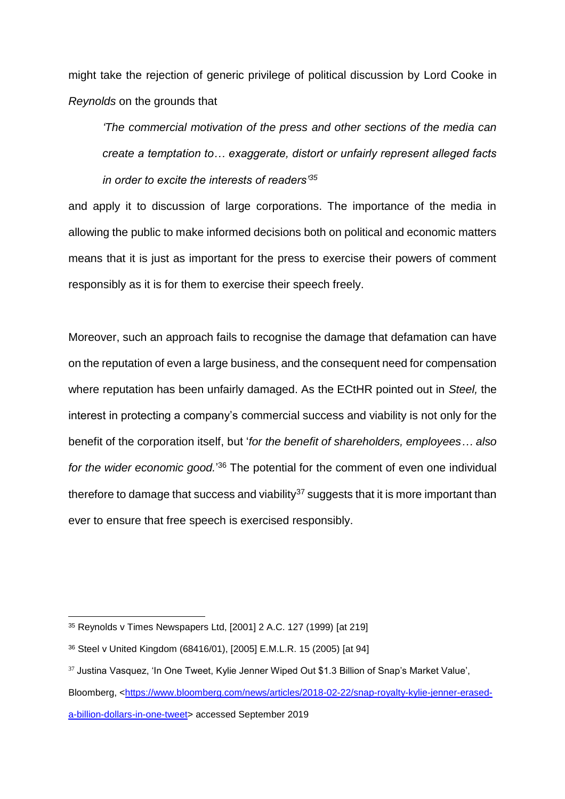might take the rejection of generic privilege of political discussion by Lord Cooke in *Reynolds* on the grounds that

*'The commercial motivation of the press and other sections of the media can create a temptation to… exaggerate, distort or unfairly represent alleged facts in order to excite the interests of readers'<sup>35</sup>*

and apply it to discussion of large corporations. The importance of the media in allowing the public to make informed decisions both on political and economic matters means that it is just as important for the press to exercise their powers of comment responsibly as it is for them to exercise their speech freely.

Moreover, such an approach fails to recognise the damage that defamation can have on the reputation of even a large business, and the consequent need for compensation where reputation has been unfairly damaged. As the ECtHR pointed out in *Steel,* the interest in protecting a company's commercial success and viability is not only for the benefit of the corporation itself, but '*for the benefit of shareholders, employees… also*  for the wider economic good.<sup>'36</sup> The potential for the comment of even one individual therefore to damage that success and viability<sup>37</sup> suggests that it is more important than ever to ensure that free speech is exercised responsibly.

<sup>35</sup> Reynolds v Times Newspapers Ltd, [2001] 2 A.C. 127 (1999) [at 219]

<sup>36</sup> Steel v United Kingdom (68416/01), [2005] E.M.L.R. 15 (2005) [at 94]

<sup>&</sup>lt;sup>37</sup> Justina Vasquez, 'In One Tweet, Kylie Jenner Wiped Out \$1.3 Billion of Snap's Market Value',

Bloomberg, [<https://www.bloomberg.com/news/articles/2018-02-22/snap-royalty-kylie-jenner-erased](https://www.bloomberg.com/news/articles/2018-02-22/snap-royalty-kylie-jenner-erased-a-billion-dollars-in-one-tweet)[a-billion-dollars-in-one-tweet>](https://www.bloomberg.com/news/articles/2018-02-22/snap-royalty-kylie-jenner-erased-a-billion-dollars-in-one-tweet) accessed September 2019